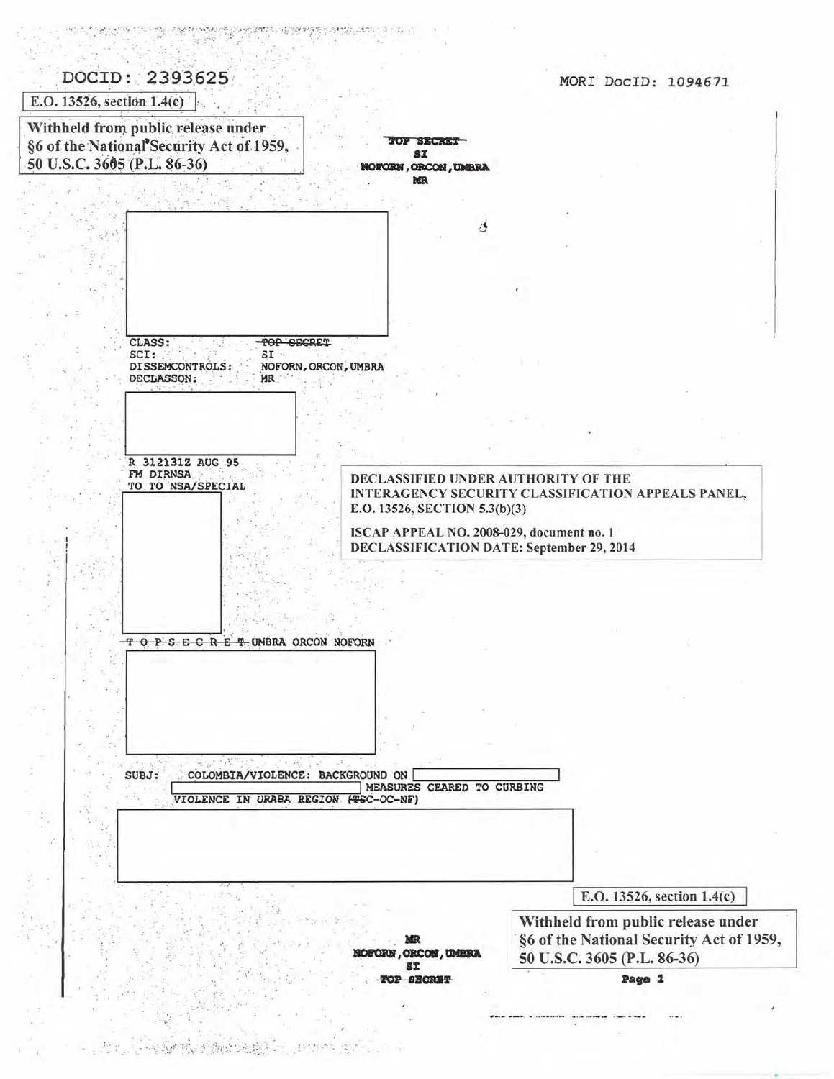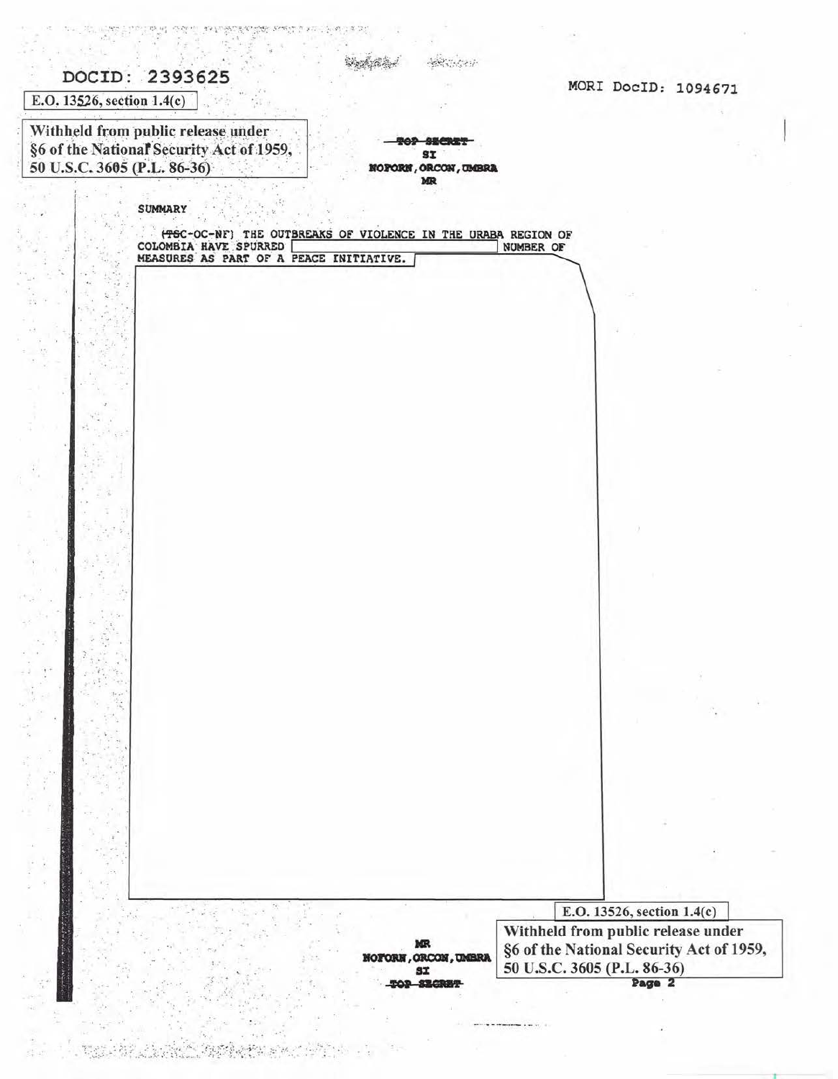| DOCID: 2393625<br>E.O. 13526, section 1.4(c)                                                                  |                                                              |                                                   |                                                                         | MORI DocID: 1094671 |
|---------------------------------------------------------------------------------------------------------------|--------------------------------------------------------------|---------------------------------------------------|-------------------------------------------------------------------------|---------------------|
| Withheld from public release under<br>§6 of the National Security Act of 1959,<br>50 U.S.C. 3605 (P.L. 86-36) |                                                              | 分裂色效果学<br>SI<br><b>NOFORN, ORCON, UMBRA</b><br>МR |                                                                         |                     |
| <b>SUMMARY</b>                                                                                                |                                                              |                                                   |                                                                         |                     |
| COLOMBIA HAVE SPURRED                                                                                         | (TSC-OC-NF) THE OUTBREAKS OF VIOLENCE IN THE URABA REGION OF |                                                   | NUMBER OF                                                               |                     |
|                                                                                                               | MEASURES AS PART OF A PEACE INITIATIVE.                      |                                                   |                                                                         |                     |
|                                                                                                               |                                                              |                                                   |                                                                         |                     |
|                                                                                                               |                                                              |                                                   |                                                                         |                     |
|                                                                                                               |                                                              |                                                   |                                                                         |                     |
|                                                                                                               |                                                              |                                                   |                                                                         |                     |
|                                                                                                               |                                                              |                                                   |                                                                         |                     |
|                                                                                                               |                                                              |                                                   |                                                                         |                     |
|                                                                                                               |                                                              |                                                   |                                                                         |                     |
|                                                                                                               |                                                              |                                                   |                                                                         |                     |
|                                                                                                               |                                                              |                                                   |                                                                         |                     |
|                                                                                                               |                                                              |                                                   |                                                                         |                     |
|                                                                                                               |                                                              |                                                   |                                                                         |                     |
|                                                                                                               |                                                              |                                                   |                                                                         |                     |
|                                                                                                               |                                                              |                                                   |                                                                         |                     |
|                                                                                                               |                                                              |                                                   |                                                                         |                     |
|                                                                                                               |                                                              |                                                   |                                                                         |                     |
|                                                                                                               |                                                              |                                                   |                                                                         |                     |
|                                                                                                               |                                                              |                                                   |                                                                         |                     |
|                                                                                                               |                                                              |                                                   |                                                                         |                     |
|                                                                                                               |                                                              |                                                   |                                                                         |                     |
|                                                                                                               |                                                              |                                                   |                                                                         |                     |
|                                                                                                               |                                                              |                                                   |                                                                         |                     |
|                                                                                                               |                                                              |                                                   |                                                                         |                     |
|                                                                                                               |                                                              |                                                   | E.O. 13526, section 1.4(c)                                              |                     |
|                                                                                                               |                                                              | MR.                                               | Withheld from public release under                                      |                     |
|                                                                                                               |                                                              | NOFORN, ORCON, UMBRA<br><b>SI</b>                 | §6 of the National Security Act of 1959,<br>50 U.S.C. 3605 (P.L. 86-36) |                     |
|                                                                                                               |                                                              |                                                   |                                                                         | Page 2              |